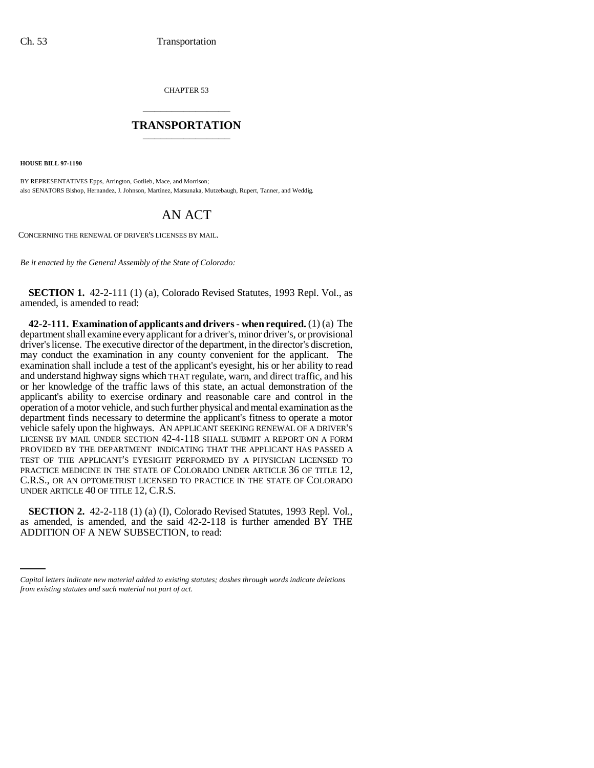CHAPTER 53 \_\_\_\_\_\_\_\_\_\_\_\_\_\_\_

## **TRANSPORTATION** \_\_\_\_\_\_\_\_\_\_\_\_\_\_\_

**HOUSE BILL 97-1190**

BY REPRESENTATIVES Epps, Arrington, Gotlieb, Mace, and Morrison; also SENATORS Bishop, Hernandez, J. Johnson, Martinez, Matsunaka, Mutzebaugh, Rupert, Tanner, and Weddig.

## AN ACT

CONCERNING THE RENEWAL OF DRIVER'S LICENSES BY MAIL.

*Be it enacted by the General Assembly of the State of Colorado:*

**SECTION 1.** 42-2-111 (1) (a), Colorado Revised Statutes, 1993 Repl. Vol., as amended, is amended to read:

**42-2-111. Examination of applicants and drivers - when required.** (1) (a) The department shall examine every applicant for a driver's, minor driver's, or provisional driver's license. The executive director of the department, in the director's discretion, may conduct the examination in any county convenient for the applicant. The examination shall include a test of the applicant's eyesight, his or her ability to read and understand highway signs which THAT regulate, warn, and direct traffic, and his or her knowledge of the traffic laws of this state, an actual demonstration of the applicant's ability to exercise ordinary and reasonable care and control in the operation of a motor vehicle, and such further physical and mental examination as the department finds necessary to determine the applicant's fitness to operate a motor vehicle safely upon the highways. AN APPLICANT SEEKING RENEWAL OF A DRIVER'S LICENSE BY MAIL UNDER SECTION 42-4-118 SHALL SUBMIT A REPORT ON A FORM PROVIDED BY THE DEPARTMENT INDICATING THAT THE APPLICANT HAS PASSED A TEST OF THE APPLICANT'S EYESIGHT PERFORMED BY A PHYSICIAN LICENSED TO PRACTICE MEDICINE IN THE STATE OF COLORADO UNDER ARTICLE 36 OF TITLE 12, C.R.S., OR AN OPTOMETRIST LICENSED TO PRACTICE IN THE STATE OF COLORADO UNDER ARTICLE 40 OF TITLE 12, C.R.S.

as amended, is amended, and the said  $42-2-118$  is further amended BY THE **SECTION 2.** 42-2-118 (1) (a) (I), Colorado Revised Statutes, 1993 Repl. Vol., ADDITION OF A NEW SUBSECTION, to read:

*Capital letters indicate new material added to existing statutes; dashes through words indicate deletions from existing statutes and such material not part of act.*